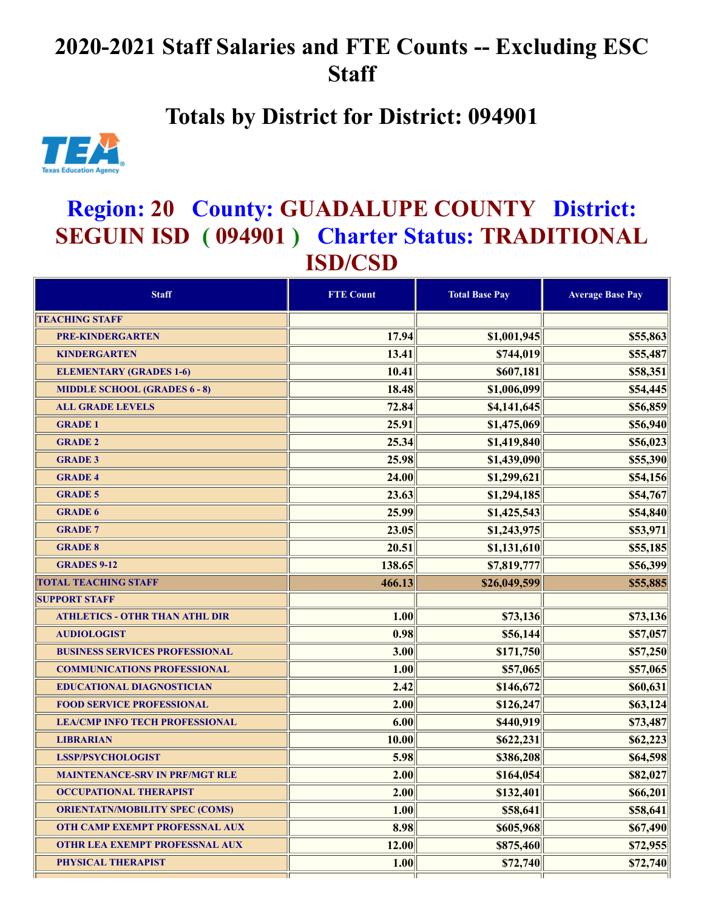## **2020-2021 Staff Salaries and FTE Counts -- Excluding ESC Staff**

## **Totals by District for District: 094901**



## **Region: 20 County: GUADALUPE COUNTY District: SEGUIN ISD ( 094901 ) Charter Status: TRADITIONAL ISD/CSD**

| <b>Staff</b>                          | <b>FTE Count</b> | <b>Total Base Pay</b> | <b>Average Base Pay</b> |
|---------------------------------------|------------------|-----------------------|-------------------------|
| <b>TEACHING STAFF</b>                 |                  |                       |                         |
| <b>PRE-KINDERGARTEN</b>               | 17.94            | \$1,001,945           | \$55,863                |
| <b>KINDERGARTEN</b>                   | 13.41            | \$744,019             | \$55,487                |
| <b>ELEMENTARY (GRADES 1-6)</b>        | 10.41            | \$607,181             | \$58,351                |
| <b>MIDDLE SCHOOL (GRADES 6 - 8)</b>   | 18.48            | \$1,006,099           | \$54,445                |
| <b>ALL GRADE LEVELS</b>               | 72.84            | \$4,141,645           | \$56,859                |
| <b>GRADE 1</b>                        | 25.91            | \$1,475,069           | \$56,940                |
| <b>GRADE 2</b>                        | 25.34            | \$1,419,840           | \$56,023                |
| <b>GRADE 3</b>                        | 25.98            | \$1,439,090           | \$55,390                |
| <b>GRADE 4</b>                        | 24.00            | \$1,299,621           | \$54,156                |
| <b>GRADE 5</b>                        | 23.63            | \$1,294,185           | \$54,767                |
| <b>GRADE 6</b>                        | 25.99            | \$1,425,543           | \$54,840                |
| <b>GRADE 7</b>                        | 23.05            | \$1,243,975           | \$53,971                |
| <b>GRADE 8</b>                        | 20.51            | \$1,131,610           | \$55,185                |
| <b>GRADES 9-12</b>                    | 138.65           | \$7,819,777           | \$56,399                |
| <b>TOTAL TEACHING STAFF</b>           | 466.13           | \$26,049,599          | \$55,885                |
| <b>SUPPORT STAFF</b>                  |                  |                       |                         |
| <b>ATHLETICS - OTHR THAN ATHL DIR</b> | 1.00             | \$73,136              | \$73,136                |
| <b>AUDIOLOGIST</b>                    | 0.98             | \$56,144              | \$57,057                |
| <b>BUSINESS SERVICES PROFESSIONAL</b> | 3.00             | \$171,750             | \$57,250                |
| <b>COMMUNICATIONS PROFESSIONAL</b>    | 1.00             | \$57,065              | \$57,065                |
| <b>EDUCATIONAL DIAGNOSTICIAN</b>      | 2.42             | \$146,672             | \$60,631                |
| <b>FOOD SERVICE PROFESSIONAL</b>      | 2.00             | \$126,247             | \$63,124                |
| <b>LEA/CMP INFO TECH PROFESSIONAL</b> | 6.00             | \$440,919             | \$73,487                |
| <b>LIBRARIAN</b>                      | 10.00            | \$622,231             | \$62,223                |
| <b>LSSP/PSYCHOLOGIST</b>              | 5.98             | \$386,208             | \$64,598                |
| <b>MAINTENANCE-SRV IN PRF/MGT RLE</b> | 2.00             | \$164,054             | \$82,027                |
| <b>OCCUPATIONAL THERAPIST</b>         | 2.00             | \$132,401             | \$66,201                |
| <b>ORIENTATN/MOBILITY SPEC (COMS)</b> | 1.00             | \$58,641              | \$58,641                |
| <b>OTH CAMP EXEMPT PROFESSNAL AUX</b> | 8.98             | \$605,968             | \$67,490                |
| <b>OTHR LEA EXEMPT PROFESSNAL AUX</b> | 12.00            | \$875,460             | \$72,955                |
| PHYSICAL THERAPIST                    | 1.00             | \$72,740              | \$72,740                |
|                                       |                  |                       |                         |